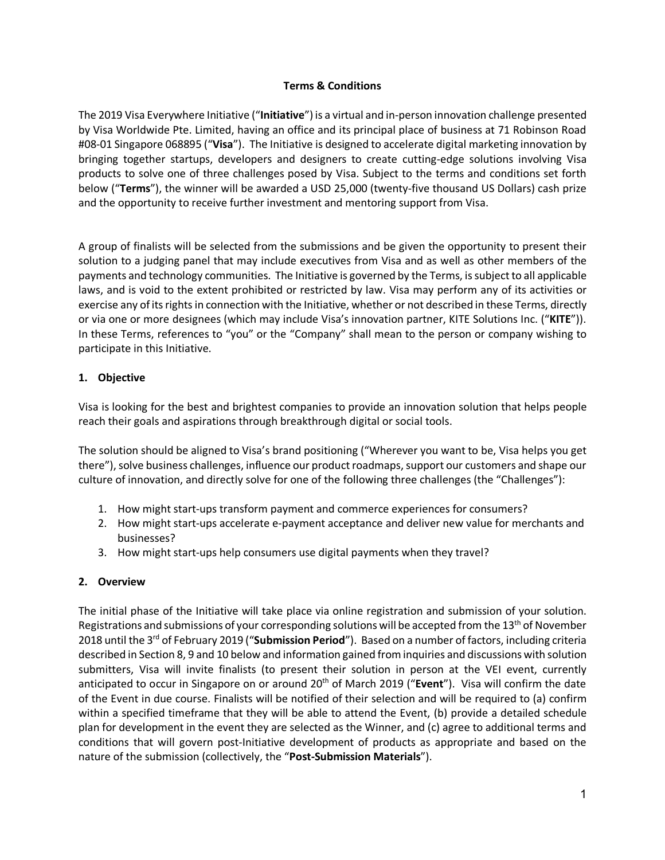### **Terms & Conditions**

The 2019 Visa Everywhere Initiative ("**Initiative**") is a virtual and in-person innovation challenge presented by Visa Worldwide Pte. Limited, having an office and its principal place of business at 71 Robinson Road #08-01 Singapore 068895 ("**Visa**"). The Initiative is designed to accelerate digital marketing innovation by bringing together startups, developers and designers to create cutting-edge solutions involving Visa products to solve one of three challenges posed by Visa. Subject to the terms and conditions set forth below ("**Terms**"), the winner will be awarded a USD 25,000 (twenty-five thousand US Dollars) cash prize and the opportunity to receive further investment and mentoring support from Visa.

A group of finalists will be selected from the submissions and be given the opportunity to present their solution to a judging panel that may include executives from Visa and as well as other members of the payments and technology communities. The Initiative is governed by the Terms, is subject to all applicable laws, and is void to the extent prohibited or restricted by law. Visa may perform any of its activities or exercise any of its rights in connection with the Initiative, whether or not described in these Terms, directly or via one or more designees (which may include Visa's innovation partner, KITE Solutions Inc. ("**KITE**")). In these Terms, references to "you" or the "Company" shall mean to the person or company wishing to participate in this Initiative.

### **1. Objective**

Visa is looking for the best and brightest companies to provide an innovation solution that helps people reach their goals and aspirations through breakthrough digital or social tools.

The solution should be aligned to Visa's brand positioning ("Wherever you want to be, Visa helps you get there"), solve business challenges, influence our product roadmaps, support our customers and shape our culture of innovation, and directly solve for one of the following three challenges (the "Challenges"):

- 1. How might start-ups transform payment and commerce experiences for consumers?
- 2. How might start-ups accelerate e-payment acceptance and deliver new value for merchants and businesses?
- 3. How might start-ups help consumers use digital payments when they travel?

# **2. Overview**

The initial phase of the Initiative will take place via online registration and submission of your solution. Registrations and submissions of your corresponding solutions will be accepted from the 13<sup>th</sup> of November 2018 until the 3rd of February 2019 ("**Submission Period**"). Based on a number of factors, including criteria described in Section 8, 9 and 10 below and information gained from inquiries and discussions with solution submitters, Visa will invite finalists (to present their solution in person at the VEI event, currently anticipated to occur in Singapore on or around 20th of March 2019 ("**Event**"). Visa will confirm the date of the Event in due course. Finalists will be notified of their selection and will be required to (a) confirm within a specified timeframe that they will be able to attend the Event, (b) provide a detailed schedule plan for development in the event they are selected as the Winner, and (c) agree to additional terms and conditions that will govern post-Initiative development of products as appropriate and based on the nature of the submission (collectively, the "**Post-Submission Materials**").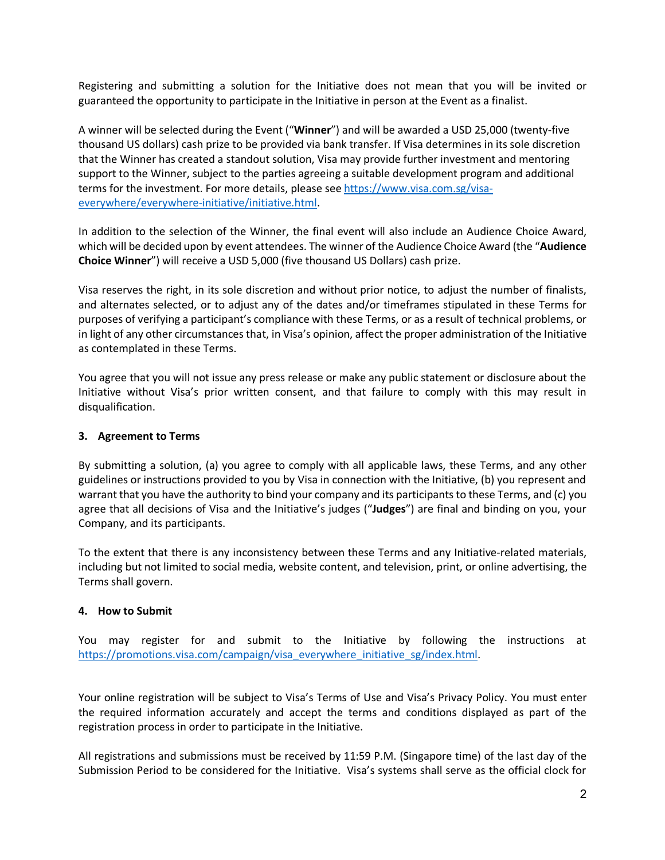Registering and submitting a solution for the Initiative does not mean that you will be invited or guaranteed the opportunity to participate in the Initiative in person at the Event as a finalist.

A winner will be selected during the Event ("**Winner**") and will be awarded a USD 25,000 (twenty-five thousand US dollars) cash prize to be provided via bank transfer. If Visa determines in its sole discretion that the Winner has created a standout solution, Visa may provide further investment and mentoring support to the Winner, subject to the parties agreeing a suitable development program and additional terms for the investment. For more details, please see https://www.visa.com.sg/visaeverywhere/everywhere-initiative/initiative.html.

In addition to the selection of the Winner, the final event will also include an Audience Choice Award, which will be decided upon by event attendees. The winner of the Audience Choice Award (the "**Audience Choice Winner**") will receive a USD 5,000 (five thousand US Dollars) cash prize.

Visa reserves the right, in its sole discretion and without prior notice, to adjust the number of finalists, and alternates selected, or to adjust any of the dates and/or timeframes stipulated in these Terms for purposes of verifying a participant's compliance with these Terms, or as a result of technical problems, or in light of any other circumstances that, in Visa's opinion, affect the proper administration of the Initiative as contemplated in these Terms.

You agree that you will not issue any press release or make any public statement or disclosure about the Initiative without Visa's prior written consent, and that failure to comply with this may result in disqualification.

### **3. Agreement to Terms**

By submitting a solution, (a) you agree to comply with all applicable laws, these Terms, and any other guidelines or instructions provided to you by Visa in connection with the Initiative, (b) you represent and warrant that you have the authority to bind your company and its participants to these Terms, and (c) you agree that all decisions of Visa and the Initiative's judges ("**Judges**") are final and binding on you, your Company, and its participants.

To the extent that there is any inconsistency between these Terms and any Initiative-related materials, including but not limited to social media, website content, and television, print, or online advertising, the Terms shall govern.

### **4. How to Submit**

You may register for and submit to the Initiative by following the instructions at https://promotions.visa.com/campaign/visa\_everywhere\_initiative\_sg/index.html.

Your online registration will be subject to Visa's Terms of Use and Visa's Privacy Policy. You must enter the required information accurately and accept the terms and conditions displayed as part of the registration process in order to participate in the Initiative.

All registrations and submissions must be received by 11:59 P.M. (Singapore time) of the last day of the Submission Period to be considered for the Initiative. Visa's systems shall serve as the official clock for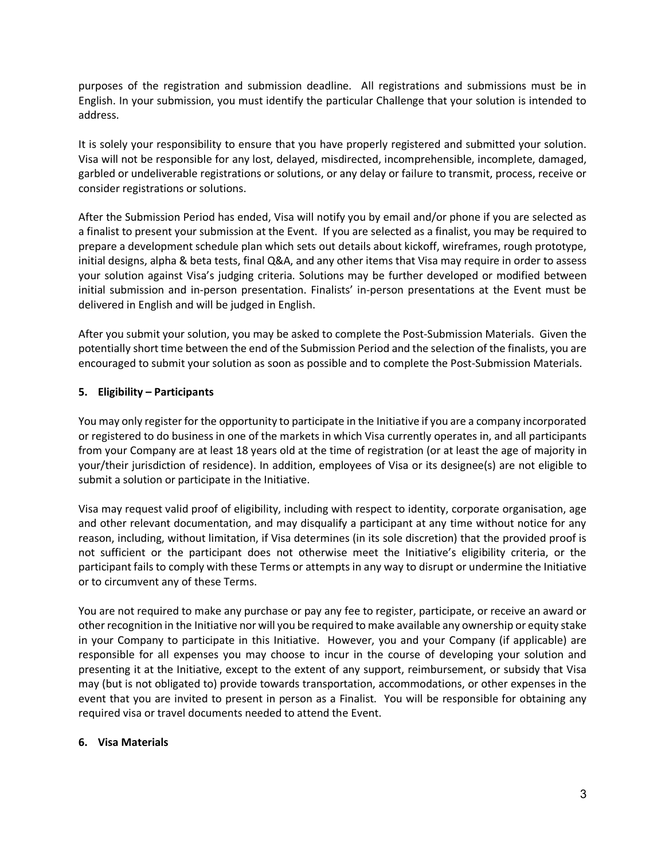purposes of the registration and submission deadline. All registrations and submissions must be in English. In your submission, you must identify the particular Challenge that your solution is intended to address.

It is solely your responsibility to ensure that you have properly registered and submitted your solution. Visa will not be responsible for any lost, delayed, misdirected, incomprehensible, incomplete, damaged, garbled or undeliverable registrations or solutions, or any delay or failure to transmit, process, receive or consider registrations or solutions.

After the Submission Period has ended, Visa will notify you by email and/or phone if you are selected as a finalist to present your submission at the Event. If you are selected as a finalist, you may be required to prepare a development schedule plan which sets out details about kickoff, wireframes, rough prototype, initial designs, alpha & beta tests, final Q&A, and any other items that Visa may require in order to assess your solution against Visa's judging criteria. Solutions may be further developed or modified between initial submission and in-person presentation. Finalists' in-person presentations at the Event must be delivered in English and will be judged in English.

After you submit your solution, you may be asked to complete the Post-Submission Materials. Given the potentially short time between the end of the Submission Period and the selection of the finalists, you are encouraged to submit your solution as soon as possible and to complete the Post-Submission Materials.

# **5. Eligibility – Participants**

You may only register for the opportunity to participate in the Initiative if you are a company incorporated or registered to do business in one of the markets in which Visa currently operates in, and all participants from your Company are at least 18 years old at the time of registration (or at least the age of majority in your/their jurisdiction of residence). In addition, employees of Visa or its designee(s) are not eligible to submit a solution or participate in the Initiative.

Visa may request valid proof of eligibility, including with respect to identity, corporate organisation, age and other relevant documentation, and may disqualify a participant at any time without notice for any reason, including, without limitation, if Visa determines (in its sole discretion) that the provided proof is not sufficient or the participant does not otherwise meet the Initiative's eligibility criteria, or the participant fails to comply with these Terms or attempts in any way to disrupt or undermine the Initiative or to circumvent any of these Terms.

You are not required to make any purchase or pay any fee to register, participate, or receive an award or other recognition in the Initiative nor will you be required to make available any ownership or equity stake in your Company to participate in this Initiative. However, you and your Company (if applicable) are responsible for all expenses you may choose to incur in the course of developing your solution and presenting it at the Initiative, except to the extent of any support, reimbursement, or subsidy that Visa may (but is not obligated to) provide towards transportation, accommodations, or other expenses in the event that you are invited to present in person as a Finalist. You will be responsible for obtaining any required visa or travel documents needed to attend the Event.

### **6. Visa Materials**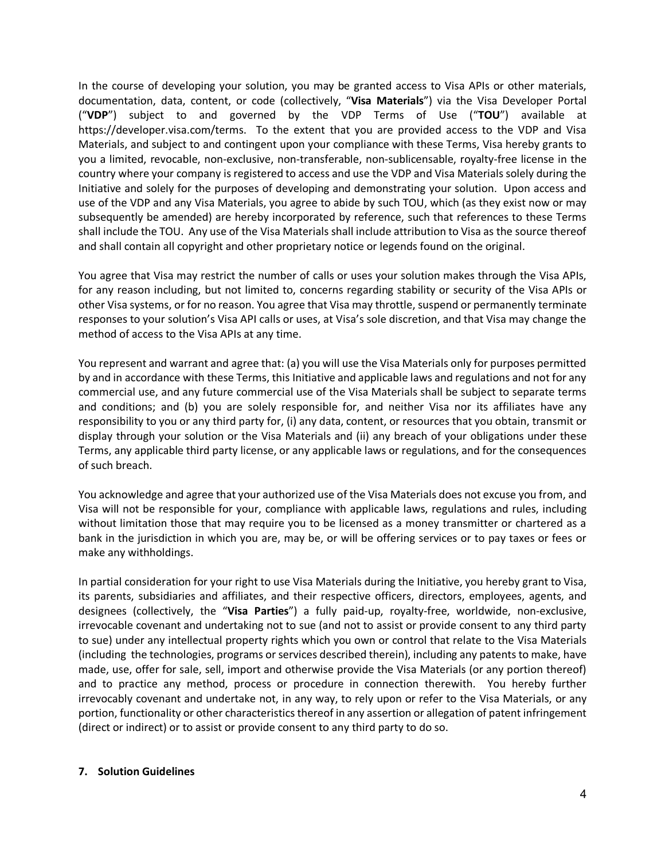In the course of developing your solution, you may be granted access to Visa APIs or other materials, documentation, data, content, or code (collectively, "**Visa Materials**") via the Visa Developer Portal ("**VDP**") subject to and governed by the VDP Terms of Use ("**TOU**") available at https://developer.visa.com/terms. To the extent that you are provided access to the VDP and Visa Materials, and subject to and contingent upon your compliance with these Terms, Visa hereby grants to you a limited, revocable, non-exclusive, non-transferable, non-sublicensable, royalty-free license in the country where your company is registered to access and use the VDP and Visa Materials solely during the Initiative and solely for the purposes of developing and demonstrating your solution. Upon access and use of the VDP and any Visa Materials, you agree to abide by such TOU, which (as they exist now or may subsequently be amended) are hereby incorporated by reference, such that references to these Terms shall include the TOU. Any use of the Visa Materials shall include attribution to Visa as the source thereof and shall contain all copyright and other proprietary notice or legends found on the original.

You agree that Visa may restrict the number of calls or uses your solution makes through the Visa APIs, for any reason including, but not limited to, concerns regarding stability or security of the Visa APIs or other Visa systems, or for no reason. You agree that Visa may throttle, suspend or permanently terminate responses to your solution's Visa API calls or uses, at Visa's sole discretion, and that Visa may change the method of access to the Visa APIs at any time.

You represent and warrant and agree that: (a) you will use the Visa Materials only for purposes permitted by and in accordance with these Terms, this Initiative and applicable laws and regulations and not for any commercial use, and any future commercial use of the Visa Materials shall be subject to separate terms and conditions; and (b) you are solely responsible for, and neither Visa nor its affiliates have any responsibility to you or any third party for, (i) any data, content, or resources that you obtain, transmit or display through your solution or the Visa Materials and (ii) any breach of your obligations under these Terms, any applicable third party license, or any applicable laws or regulations, and for the consequences of such breach.

You acknowledge and agree that your authorized use of the Visa Materials does not excuse you from, and Visa will not be responsible for your, compliance with applicable laws, regulations and rules, including without limitation those that may require you to be licensed as a money transmitter or chartered as a bank in the jurisdiction in which you are, may be, or will be offering services or to pay taxes or fees or make any withholdings.

In partial consideration for your right to use Visa Materials during the Initiative, you hereby grant to Visa, its parents, subsidiaries and affiliates, and their respective officers, directors, employees, agents, and designees (collectively, the "**Visa Parties**") a fully paid-up, royalty-free, worldwide, non-exclusive, irrevocable covenant and undertaking not to sue (and not to assist or provide consent to any third party to sue) under any intellectual property rights which you own or control that relate to the Visa Materials (including the technologies, programs or services described therein), including any patents to make, have made, use, offer for sale, sell, import and otherwise provide the Visa Materials (or any portion thereof) and to practice any method, process or procedure in connection therewith. You hereby further irrevocably covenant and undertake not, in any way, to rely upon or refer to the Visa Materials, or any portion, functionality or other characteristics thereof in any assertion or allegation of patent infringement (direct or indirect) or to assist or provide consent to any third party to do so.

### **7. Solution Guidelines**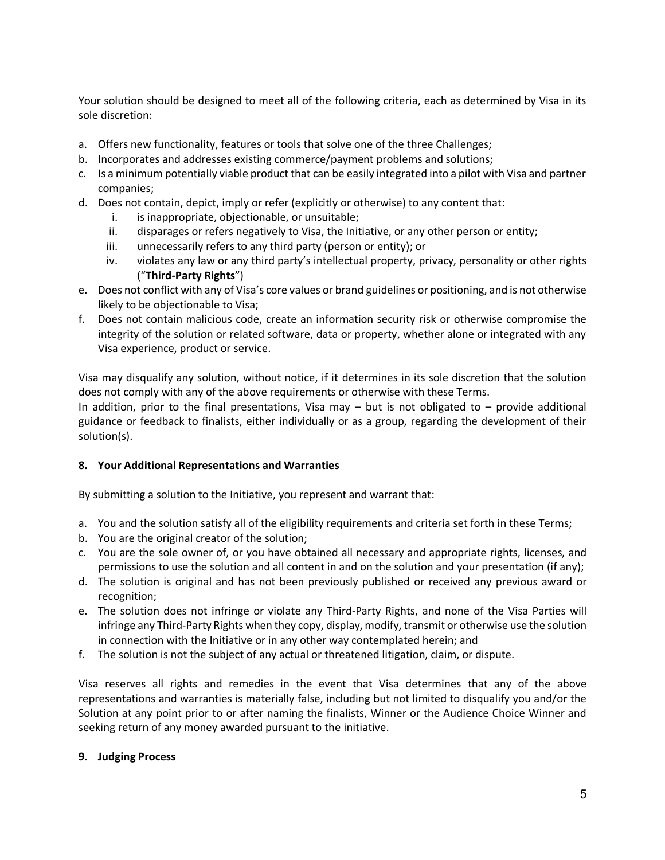Your solution should be designed to meet all of the following criteria, each as determined by Visa in its sole discretion:

- a. Offers new functionality, features or tools that solve one of the three Challenges;
- b. Incorporates and addresses existing commerce/payment problems and solutions;
- c. Is a minimum potentially viable product that can be easily integrated into a pilot with Visa and partner companies;
- d. Does not contain, depict, imply or refer (explicitly or otherwise) to any content that:
	- i. is inappropriate, objectionable, or unsuitable;
	- ii. disparages or refers negatively to Visa, the Initiative, or any other person or entity;
	- iii. unnecessarily refers to any third party (person or entity); or
	- iv. violates any law or any third party's intellectual property, privacy, personality or other rights ("**Third-Party Rights**")
- e. Does not conflict with any of Visa's core values or brand guidelines or positioning, and is not otherwise likely to be objectionable to Visa;
- f. Does not contain malicious code, create an information security risk or otherwise compromise the integrity of the solution or related software, data or property, whether alone or integrated with any Visa experience, product or service.

Visa may disqualify any solution, without notice, if it determines in its sole discretion that the solution does not comply with any of the above requirements or otherwise with these Terms.

In addition, prior to the final presentations, Visa may  $-$  but is not obligated to  $-$  provide additional guidance or feedback to finalists, either individually or as a group, regarding the development of their solution(s).

### **8. Your Additional Representations and Warranties**

By submitting a solution to the Initiative, you represent and warrant that:

- a. You and the solution satisfy all of the eligibility requirements and criteria set forth in these Terms;
- b. You are the original creator of the solution;
- c. You are the sole owner of, or you have obtained all necessary and appropriate rights, licenses, and permissions to use the solution and all content in and on the solution and your presentation (if any);
- d. The solution is original and has not been previously published or received any previous award or recognition;
- e. The solution does not infringe or violate any Third-Party Rights, and none of the Visa Parties will infringe any Third-Party Rights when they copy, display, modify, transmit or otherwise use the solution in connection with the Initiative or in any other way contemplated herein; and
- f. The solution is not the subject of any actual or threatened litigation, claim, or dispute.

Visa reserves all rights and remedies in the event that Visa determines that any of the above representations and warranties is materially false, including but not limited to disqualify you and/or the Solution at any point prior to or after naming the finalists, Winner or the Audience Choice Winner and seeking return of any money awarded pursuant to the initiative.

### **9. Judging Process**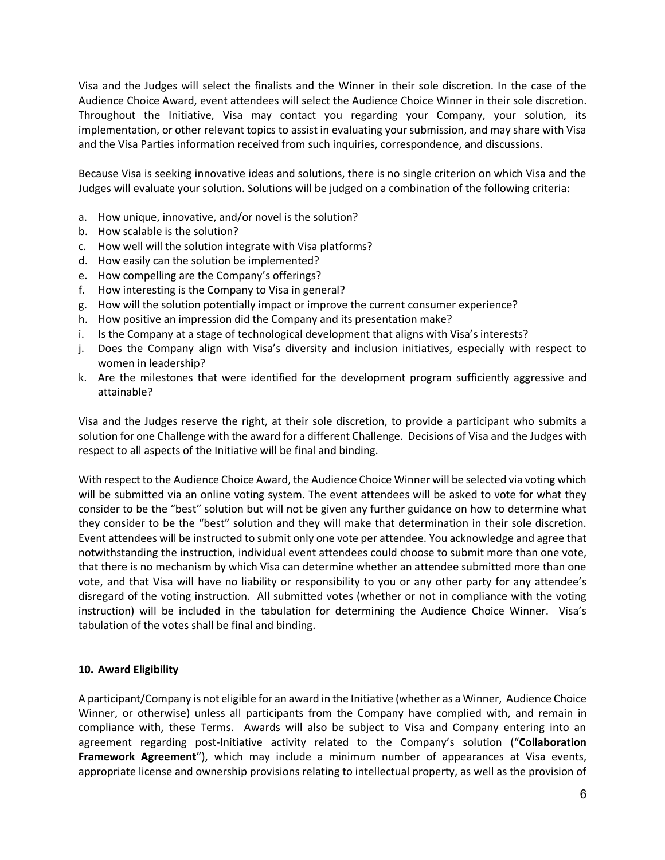Visa and the Judges will select the finalists and the Winner in their sole discretion. In the case of the Audience Choice Award, event attendees will select the Audience Choice Winner in their sole discretion. Throughout the Initiative, Visa may contact you regarding your Company, your solution, its implementation, or other relevant topics to assist in evaluating your submission, and may share with Visa and the Visa Parties information received from such inquiries, correspondence, and discussions.

Because Visa is seeking innovative ideas and solutions, there is no single criterion on which Visa and the Judges will evaluate your solution. Solutions will be judged on a combination of the following criteria:

- a. How unique, innovative, and/or novel is the solution?
- b. How scalable is the solution?
- c. How well will the solution integrate with Visa platforms?
- d. How easily can the solution be implemented?
- e. How compelling are the Company's offerings?
- f. How interesting is the Company to Visa in general?
- g. How will the solution potentially impact or improve the current consumer experience?
- h. How positive an impression did the Company and its presentation make?
- i. Is the Company at a stage of technological development that aligns with Visa's interests?
- j. Does the Company align with Visa's diversity and inclusion initiatives, especially with respect to women in leadership?
- k. Are the milestones that were identified for the development program sufficiently aggressive and attainable?

Visa and the Judges reserve the right, at their sole discretion, to provide a participant who submits a solution for one Challenge with the award for a different Challenge. Decisions of Visa and the Judges with respect to all aspects of the Initiative will be final and binding.

With respect to the Audience Choice Award, the Audience Choice Winner will be selected via voting which will be submitted via an online voting system. The event attendees will be asked to vote for what they consider to be the "best" solution but will not be given any further guidance on how to determine what they consider to be the "best" solution and they will make that determination in their sole discretion. Event attendees will be instructed to submit only one vote per attendee. You acknowledge and agree that notwithstanding the instruction, individual event attendees could choose to submit more than one vote, that there is no mechanism by which Visa can determine whether an attendee submitted more than one vote, and that Visa will have no liability or responsibility to you or any other party for any attendee's disregard of the voting instruction. All submitted votes (whether or not in compliance with the voting instruction) will be included in the tabulation for determining the Audience Choice Winner. Visa's tabulation of the votes shall be final and binding.

### **10. Award Eligibility**

A participant/Company is not eligible for an award in the Initiative (whether as a Winner, Audience Choice Winner, or otherwise) unless all participants from the Company have complied with, and remain in compliance with, these Terms. Awards will also be subject to Visa and Company entering into an agreement regarding post-Initiative activity related to the Company's solution ("**Collaboration Framework Agreement**"), which may include a minimum number of appearances at Visa events, appropriate license and ownership provisions relating to intellectual property, as well as the provision of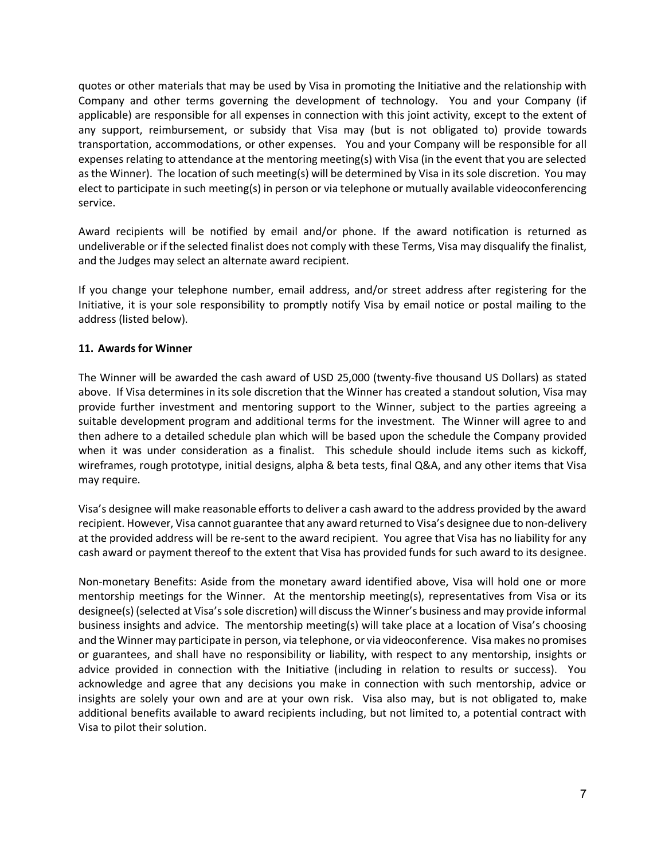quotes or other materials that may be used by Visa in promoting the Initiative and the relationship with Company and other terms governing the development of technology. You and your Company (if applicable) are responsible for all expenses in connection with this joint activity, except to the extent of any support, reimbursement, or subsidy that Visa may (but is not obligated to) provide towards transportation, accommodations, or other expenses. You and your Company will be responsible for all expenses relating to attendance at the mentoring meeting(s) with Visa (in the event that you are selected as the Winner). The location of such meeting(s) will be determined by Visa in its sole discretion. You may elect to participate in such meeting(s) in person or via telephone or mutually available videoconferencing service.

Award recipients will be notified by email and/or phone. If the award notification is returned as undeliverable or if the selected finalist does not comply with these Terms, Visa may disqualify the finalist, and the Judges may select an alternate award recipient.

If you change your telephone number, email address, and/or street address after registering for the Initiative, it is your sole responsibility to promptly notify Visa by email notice or postal mailing to the address (listed below).

### **11. Awards for Winner**

The Winner will be awarded the cash award of USD 25,000 (twenty-five thousand US Dollars) as stated above. If Visa determines in its sole discretion that the Winner has created a standout solution, Visa may provide further investment and mentoring support to the Winner, subject to the parties agreeing a suitable development program and additional terms for the investment. The Winner will agree to and then adhere to a detailed schedule plan which will be based upon the schedule the Company provided when it was under consideration as a finalist. This schedule should include items such as kickoff, wireframes, rough prototype, initial designs, alpha & beta tests, final Q&A, and any other items that Visa may require.

Visa's designee will make reasonable efforts to deliver a cash award to the address provided by the award recipient. However, Visa cannot guarantee that any award returned to Visa's designee due to non-delivery at the provided address will be re-sent to the award recipient. You agree that Visa has no liability for any cash award or payment thereof to the extent that Visa has provided funds for such award to its designee.

Non-monetary Benefits: Aside from the monetary award identified above, Visa will hold one or more mentorship meetings for the Winner. At the mentorship meeting(s), representatives from Visa or its designee(s) (selected at Visa's sole discretion) will discuss the Winner's business and may provide informal business insights and advice. The mentorship meeting(s) will take place at a location of Visa's choosing and the Winner may participate in person, via telephone, or via videoconference. Visa makes no promises or guarantees, and shall have no responsibility or liability, with respect to any mentorship, insights or advice provided in connection with the Initiative (including in relation to results or success). You acknowledge and agree that any decisions you make in connection with such mentorship, advice or insights are solely your own and are at your own risk. Visa also may, but is not obligated to, make additional benefits available to award recipients including, but not limited to, a potential contract with Visa to pilot their solution.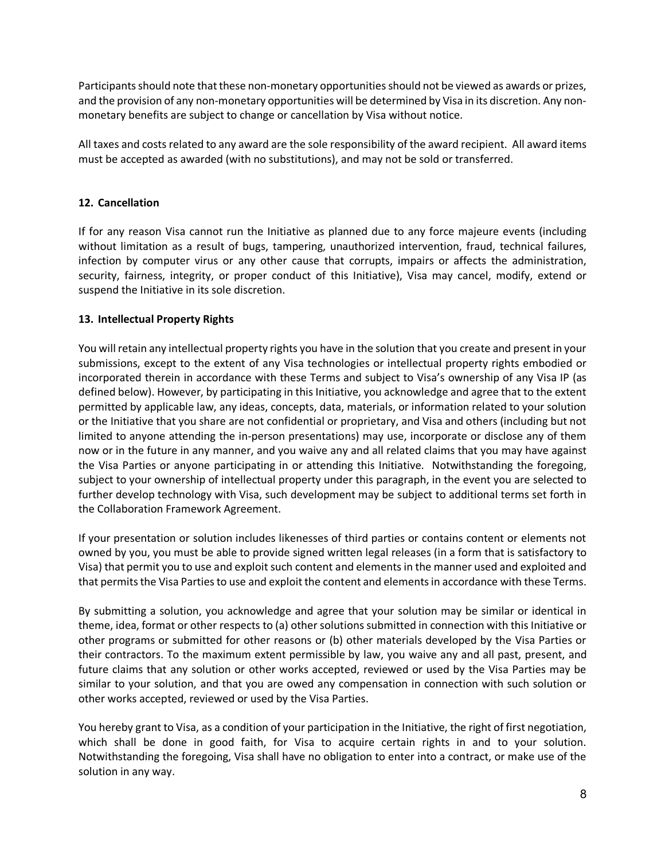Participants should note that these non-monetary opportunities should not be viewed as awards or prizes, and the provision of any non-monetary opportunities will be determined by Visa in its discretion. Any nonmonetary benefits are subject to change or cancellation by Visa without notice.

All taxes and costs related to any award are the sole responsibility of the award recipient. All award items must be accepted as awarded (with no substitutions), and may not be sold or transferred.

# **12. Cancellation**

If for any reason Visa cannot run the Initiative as planned due to any force majeure events (including without limitation as a result of bugs, tampering, unauthorized intervention, fraud, technical failures, infection by computer virus or any other cause that corrupts, impairs or affects the administration, security, fairness, integrity, or proper conduct of this Initiative), Visa may cancel, modify, extend or suspend the Initiative in its sole discretion.

# **13. Intellectual Property Rights**

You will retain any intellectual property rights you have in the solution that you create and present in your submissions, except to the extent of any Visa technologies or intellectual property rights embodied or incorporated therein in accordance with these Terms and subject to Visa's ownership of any Visa IP (as defined below). However, by participating in this Initiative, you acknowledge and agree that to the extent permitted by applicable law, any ideas, concepts, data, materials, or information related to your solution or the Initiative that you share are not confidential or proprietary, and Visa and others (including but not limited to anyone attending the in-person presentations) may use, incorporate or disclose any of them now or in the future in any manner, and you waive any and all related claims that you may have against the Visa Parties or anyone participating in or attending this Initiative. Notwithstanding the foregoing, subject to your ownership of intellectual property under this paragraph, in the event you are selected to further develop technology with Visa, such development may be subject to additional terms set forth in the Collaboration Framework Agreement.

If your presentation or solution includes likenesses of third parties or contains content or elements not owned by you, you must be able to provide signed written legal releases (in a form that is satisfactory to Visa) that permit you to use and exploit such content and elements in the manner used and exploited and that permits the Visa Parties to use and exploit the content and elements in accordance with these Terms.

By submitting a solution, you acknowledge and agree that your solution may be similar or identical in theme, idea, format or other respects to (a) other solutions submitted in connection with this Initiative or other programs or submitted for other reasons or (b) other materials developed by the Visa Parties or their contractors. To the maximum extent permissible by law, you waive any and all past, present, and future claims that any solution or other works accepted, reviewed or used by the Visa Parties may be similar to your solution, and that you are owed any compensation in connection with such solution or other works accepted, reviewed or used by the Visa Parties.

You hereby grant to Visa, as a condition of your participation in the Initiative, the right of first negotiation, which shall be done in good faith, for Visa to acquire certain rights in and to your solution. Notwithstanding the foregoing, Visa shall have no obligation to enter into a contract, or make use of the solution in any way.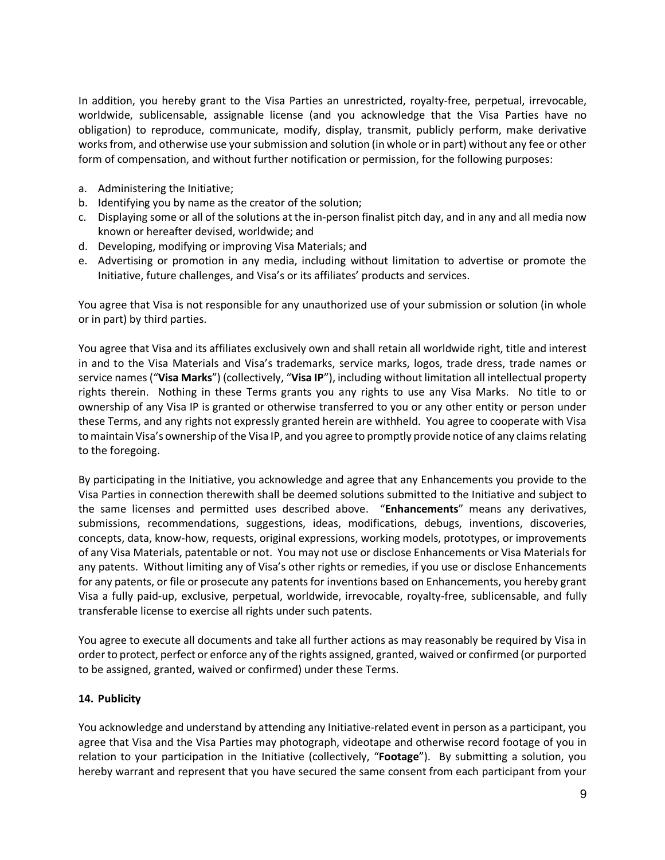In addition, you hereby grant to the Visa Parties an unrestricted, royalty-free, perpetual, irrevocable, worldwide, sublicensable, assignable license (and you acknowledge that the Visa Parties have no obligation) to reproduce, communicate, modify, display, transmit, publicly perform, make derivative works from, and otherwise use your submission and solution (in whole or in part) without any fee or other form of compensation, and without further notification or permission, for the following purposes:

- a. Administering the Initiative;
- b. Identifying you by name as the creator of the solution;
- c. Displaying some or all of the solutions at the in-person finalist pitch day, and in any and all media now known or hereafter devised, worldwide; and
- d. Developing, modifying or improving Visa Materials; and
- e. Advertising or promotion in any media, including without limitation to advertise or promote the Initiative, future challenges, and Visa's or its affiliates' products and services.

You agree that Visa is not responsible for any unauthorized use of your submission or solution (in whole or in part) by third parties.

You agree that Visa and its affiliates exclusively own and shall retain all worldwide right, title and interest in and to the Visa Materials and Visa's trademarks, service marks, logos, trade dress, trade names or service names ("**Visa Marks**") (collectively, "**Visa IP**"), including without limitation all intellectual property rights therein. Nothing in these Terms grants you any rights to use any Visa Marks. No title to or ownership of any Visa IP is granted or otherwise transferred to you or any other entity or person under these Terms, and any rights not expressly granted herein are withheld. You agree to cooperate with Visa to maintain Visa's ownership of the Visa IP, and you agree to promptly provide notice of any claims relating to the foregoing.

By participating in the Initiative, you acknowledge and agree that any Enhancements you provide to the Visa Parties in connection therewith shall be deemed solutions submitted to the Initiative and subject to the same licenses and permitted uses described above. "**Enhancements**" means any derivatives, submissions, recommendations, suggestions, ideas, modifications, debugs, inventions, discoveries, concepts, data, know-how, requests, original expressions, working models, prototypes, or improvements of any Visa Materials, patentable or not. You may not use or disclose Enhancements or Visa Materials for any patents. Without limiting any of Visa's other rights or remedies, if you use or disclose Enhancements for any patents, or file or prosecute any patents for inventions based on Enhancements, you hereby grant Visa a fully paid-up, exclusive, perpetual, worldwide, irrevocable, royalty-free, sublicensable, and fully transferable license to exercise all rights under such patents.

You agree to execute all documents and take all further actions as may reasonably be required by Visa in order to protect, perfect or enforce any of the rights assigned, granted, waived or confirmed (or purported to be assigned, granted, waived or confirmed) under these Terms.

### **14. Publicity**

You acknowledge and understand by attending any Initiative-related event in person as a participant, you agree that Visa and the Visa Parties may photograph, videotape and otherwise record footage of you in relation to your participation in the Initiative (collectively, "**Footage**"). By submitting a solution, you hereby warrant and represent that you have secured the same consent from each participant from your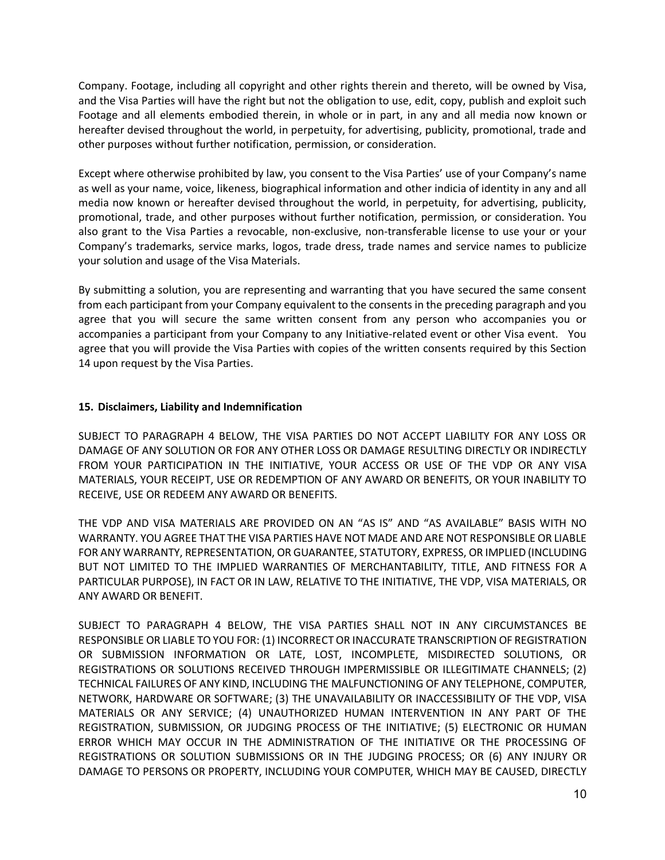Company. Footage, including all copyright and other rights therein and thereto, will be owned by Visa, and the Visa Parties will have the right but not the obligation to use, edit, copy, publish and exploit such Footage and all elements embodied therein, in whole or in part, in any and all media now known or hereafter devised throughout the world, in perpetuity, for advertising, publicity, promotional, trade and other purposes without further notification, permission, or consideration.

Except where otherwise prohibited by law, you consent to the Visa Parties' use of your Company's name as well as your name, voice, likeness, biographical information and other indicia of identity in any and all media now known or hereafter devised throughout the world, in perpetuity, for advertising, publicity, promotional, trade, and other purposes without further notification, permission, or consideration. You also grant to the Visa Parties a revocable, non-exclusive, non-transferable license to use your or your Company's trademarks, service marks, logos, trade dress, trade names and service names to publicize your solution and usage of the Visa Materials.

By submitting a solution, you are representing and warranting that you have secured the same consent from each participant from your Company equivalent to the consents in the preceding paragraph and you agree that you will secure the same written consent from any person who accompanies you or accompanies a participant from your Company to any Initiative-related event or other Visa event. You agree that you will provide the Visa Parties with copies of the written consents required by this Section 14 upon request by the Visa Parties.

### **15. Disclaimers, Liability and Indemnification**

SUBJECT TO PARAGRAPH 4 BELOW, THE VISA PARTIES DO NOT ACCEPT LIABILITY FOR ANY LOSS OR DAMAGE OF ANY SOLUTION OR FOR ANY OTHER LOSS OR DAMAGE RESULTING DIRECTLY OR INDIRECTLY FROM YOUR PARTICIPATION IN THE INITIATIVE, YOUR ACCESS OR USE OF THE VDP OR ANY VISA MATERIALS, YOUR RECEIPT, USE OR REDEMPTION OF ANY AWARD OR BENEFITS, OR YOUR INABILITY TO RECEIVE, USE OR REDEEM ANY AWARD OR BENEFITS.

THE VDP AND VISA MATERIALS ARE PROVIDED ON AN "AS IS" AND "AS AVAILABLE" BASIS WITH NO WARRANTY. YOU AGREE THAT THE VISA PARTIES HAVE NOT MADE AND ARE NOT RESPONSIBLE OR LIABLE FOR ANY WARRANTY, REPRESENTATION, OR GUARANTEE, STATUTORY, EXPRESS, OR IMPLIED (INCLUDING BUT NOT LIMITED TO THE IMPLIED WARRANTIES OF MERCHANTABILITY, TITLE, AND FITNESS FOR A PARTICULAR PURPOSE), IN FACT OR IN LAW, RELATIVE TO THE INITIATIVE, THE VDP, VISA MATERIALS, OR ANY AWARD OR BENEFIT.

SUBJECT TO PARAGRAPH 4 BELOW, THE VISA PARTIES SHALL NOT IN ANY CIRCUMSTANCES BE RESPONSIBLE OR LIABLE TO YOU FOR: (1) INCORRECT OR INACCURATE TRANSCRIPTION OF REGISTRATION OR SUBMISSION INFORMATION OR LATE, LOST, INCOMPLETE, MISDIRECTED SOLUTIONS, OR REGISTRATIONS OR SOLUTIONS RECEIVED THROUGH IMPERMISSIBLE OR ILLEGITIMATE CHANNELS; (2) TECHNICAL FAILURES OF ANY KIND, INCLUDING THE MALFUNCTIONING OF ANY TELEPHONE, COMPUTER, NETWORK, HARDWARE OR SOFTWARE; (3) THE UNAVAILABILITY OR INACCESSIBILITY OF THE VDP, VISA MATERIALS OR ANY SERVICE; (4) UNAUTHORIZED HUMAN INTERVENTION IN ANY PART OF THE REGISTRATION, SUBMISSION, OR JUDGING PROCESS OF THE INITIATIVE; (5) ELECTRONIC OR HUMAN ERROR WHICH MAY OCCUR IN THE ADMINISTRATION OF THE INITIATIVE OR THE PROCESSING OF REGISTRATIONS OR SOLUTION SUBMISSIONS OR IN THE JUDGING PROCESS; OR (6) ANY INJURY OR DAMAGE TO PERSONS OR PROPERTY, INCLUDING YOUR COMPUTER, WHICH MAY BE CAUSED, DIRECTLY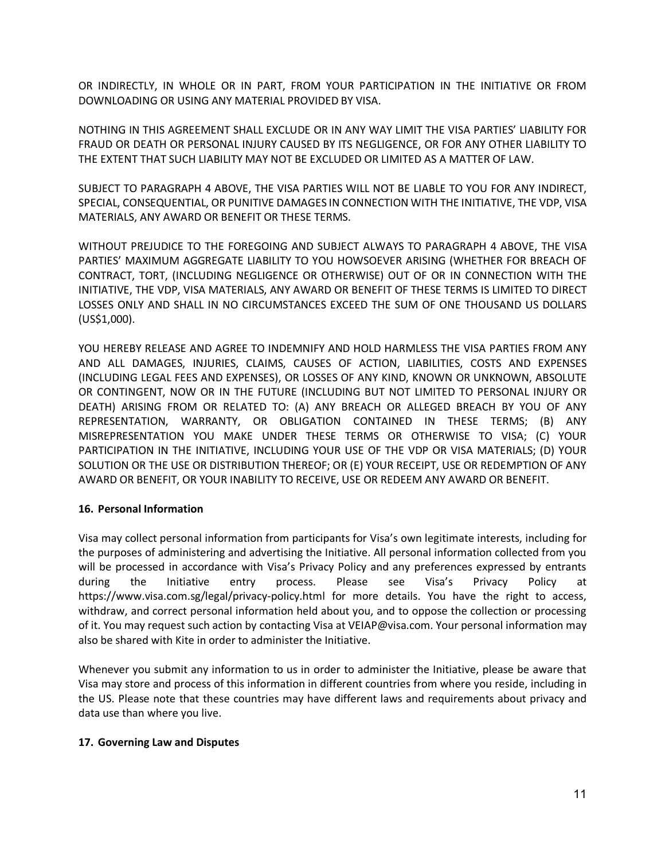OR INDIRECTLY, IN WHOLE OR IN PART, FROM YOUR PARTICIPATION IN THE INITIATIVE OR FROM DOWNLOADING OR USING ANY MATERIAL PROVIDED BY VISA.

NOTHING IN THIS AGREEMENT SHALL EXCLUDE OR IN ANY WAY LIMIT THE VISA PARTIES' LIABILITY FOR FRAUD OR DEATH OR PERSONAL INJURY CAUSED BY ITS NEGLIGENCE, OR FOR ANY OTHER LIABILITY TO THE EXTENT THAT SUCH LIABILITY MAY NOT BE EXCLUDED OR LIMITED AS A MATTER OF LAW.

SUBJECT TO PARAGRAPH 4 ABOVE, THE VISA PARTIES WILL NOT BE LIABLE TO YOU FOR ANY INDIRECT, SPECIAL, CONSEQUENTIAL, OR PUNITIVE DAMAGES IN CONNECTION WITH THE INITIATIVE, THE VDP, VISA MATERIALS, ANY AWARD OR BENEFIT OR THESE TERMS.

WITHOUT PREJUDICE TO THE FOREGOING AND SUBJECT ALWAYS TO PARAGRAPH 4 ABOVE, THE VISA PARTIES' MAXIMUM AGGREGATE LIABILITY TO YOU HOWSOEVER ARISING (WHETHER FOR BREACH OF CONTRACT, TORT, (INCLUDING NEGLIGENCE OR OTHERWISE) OUT OF OR IN CONNECTION WITH THE INITIATIVE, THE VDP, VISA MATERIALS, ANY AWARD OR BENEFIT OF THESE TERMS IS LIMITED TO DIRECT LOSSES ONLY AND SHALL IN NO CIRCUMSTANCES EXCEED THE SUM OF ONE THOUSAND US DOLLARS (US\$1,000).

YOU HEREBY RELEASE AND AGREE TO INDEMNIFY AND HOLD HARMLESS THE VISA PARTIES FROM ANY AND ALL DAMAGES, INJURIES, CLAIMS, CAUSES OF ACTION, LIABILITIES, COSTS AND EXPENSES (INCLUDING LEGAL FEES AND EXPENSES), OR LOSSES OF ANY KIND, KNOWN OR UNKNOWN, ABSOLUTE OR CONTINGENT, NOW OR IN THE FUTURE (INCLUDING BUT NOT LIMITED TO PERSONAL INJURY OR DEATH) ARISING FROM OR RELATED TO: (A) ANY BREACH OR ALLEGED BREACH BY YOU OF ANY REPRESENTATION, WARRANTY, OR OBLIGATION CONTAINED IN THESE TERMS; (B) ANY MISREPRESENTATION YOU MAKE UNDER THESE TERMS OR OTHERWISE TO VISA; (C) YOUR PARTICIPATION IN THE INITIATIVE, INCLUDING YOUR USE OF THE VDP OR VISA MATERIALS; (D) YOUR SOLUTION OR THE USE OR DISTRIBUTION THEREOF; OR (E) YOUR RECEIPT, USE OR REDEMPTION OF ANY AWARD OR BENEFIT, OR YOUR INABILITY TO RECEIVE, USE OR REDEEM ANY AWARD OR BENEFIT.

### **16. Personal Information**

Visa may collect personal information from participants for Visa's own legitimate interests, including for the purposes of administering and advertising the Initiative. All personal information collected from you will be processed in accordance with Visa's Privacy Policy and any preferences expressed by entrants during the Initiative entry process. Please see Visa's Privacy Policy at https://www.visa.com.sg/legal/privacy-policy.html for more details. You have the right to access, withdraw, and correct personal information held about you, and to oppose the collection or processing of it. You may request such action by contacting Visa at VEIAP@visa.com. Your personal information may also be shared with Kite in order to administer the Initiative.

Whenever you submit any information to us in order to administer the Initiative, please be aware that Visa may store and process of this information in different countries from where you reside, including in the US. Please note that these countries may have different laws and requirements about privacy and data use than where you live.

### **17. Governing Law and Disputes**